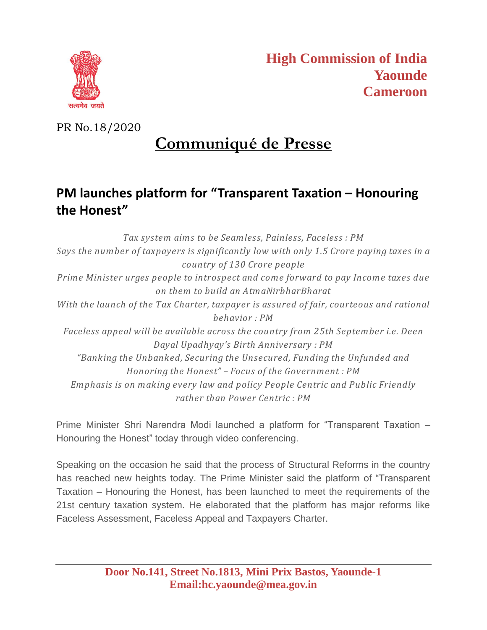

PR No.18/2020

## **Communiqué de Presse**

## **PM launches platform for "Transparent Taxation – Honouring the Honest"**

*Tax system aims to be Seamless, Painless, Faceless : PM Says the number of taxpayers is significantly low with only 1.5 Crore paying taxes in a country of 130 Crore people Prime Minister urges people to introspect and come forward to pay Income taxes due on them to build an AtmaNirbharBharat With the launch of the Tax Charter, taxpayer is assured of fair, courteous and rational behavior : PM Faceless appeal will be available across the country from 25th September i.e. Deen Dayal Upadhyay's Birth Anniversary : PM "Banking the Unbanked, Securing the Unsecured, Funding the Unfunded and Honoring the Honest" – Focus of the Government : PM Emphasis is on making every law and policy People Centric and Public Friendly rather than Power Centric : PM*

Prime Minister Shri Narendra Modi launched a platform for "Transparent Taxation – Honouring the Honest" today through video conferencing.

Speaking on the occasion he said that the process of Structural Reforms in the country has reached new heights today. The Prime Minister said the platform of "Transparent Taxation – Honouring the Honest, has been launched to meet the requirements of the 21st century taxation system. He elaborated that the platform has major reforms like Faceless Assessment, Faceless Appeal and Taxpayers Charter.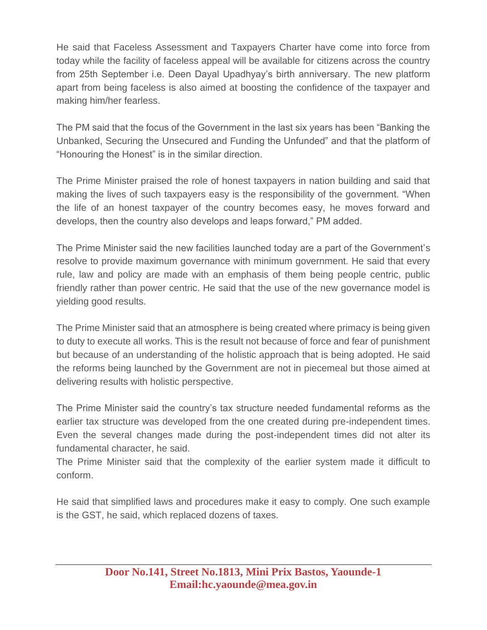He said that Faceless Assessment and Taxpayers Charter have come into force from today while the facility of faceless appeal will be available for citizens across the country from 25th September i.e. Deen Dayal Upadhyay's birth anniversary. The new platform apart from being faceless is also aimed at boosting the confidence of the taxpayer and making him/her fearless.

The PM said that the focus of the Government in the last six years has been "Banking the Unbanked, Securing the Unsecured and Funding the Unfunded" and that the platform of "Honouring the Honest" is in the similar direction.

The Prime Minister praised the role of honest taxpayers in nation building and said that making the lives of such taxpayers easy is the responsibility of the government. "When the life of an honest taxpayer of the country becomes easy, he moves forward and develops, then the country also develops and leaps forward," PM added.

The Prime Minister said the new facilities launched today are a part of the Government's resolve to provide maximum governance with minimum government. He said that every rule, law and policy are made with an emphasis of them being people centric, public friendly rather than power centric. He said that the use of the new governance model is yielding good results.

The Prime Minister said that an atmosphere is being created where primacy is being given to duty to execute all works. This is the result not because of force and fear of punishment but because of an understanding of the holistic approach that is being adopted. He said the reforms being launched by the Government are not in piecemeal but those aimed at delivering results with holistic perspective.

The Prime Minister said the country's tax structure needed fundamental reforms as the earlier tax structure was developed from the one created during pre-independent times. Even the several changes made during the post-independent times did not alter its fundamental character, he said.

The Prime Minister said that the complexity of the earlier system made it difficult to conform.

He said that simplified laws and procedures make it easy to comply. One such example is the GST, he said, which replaced dozens of taxes.